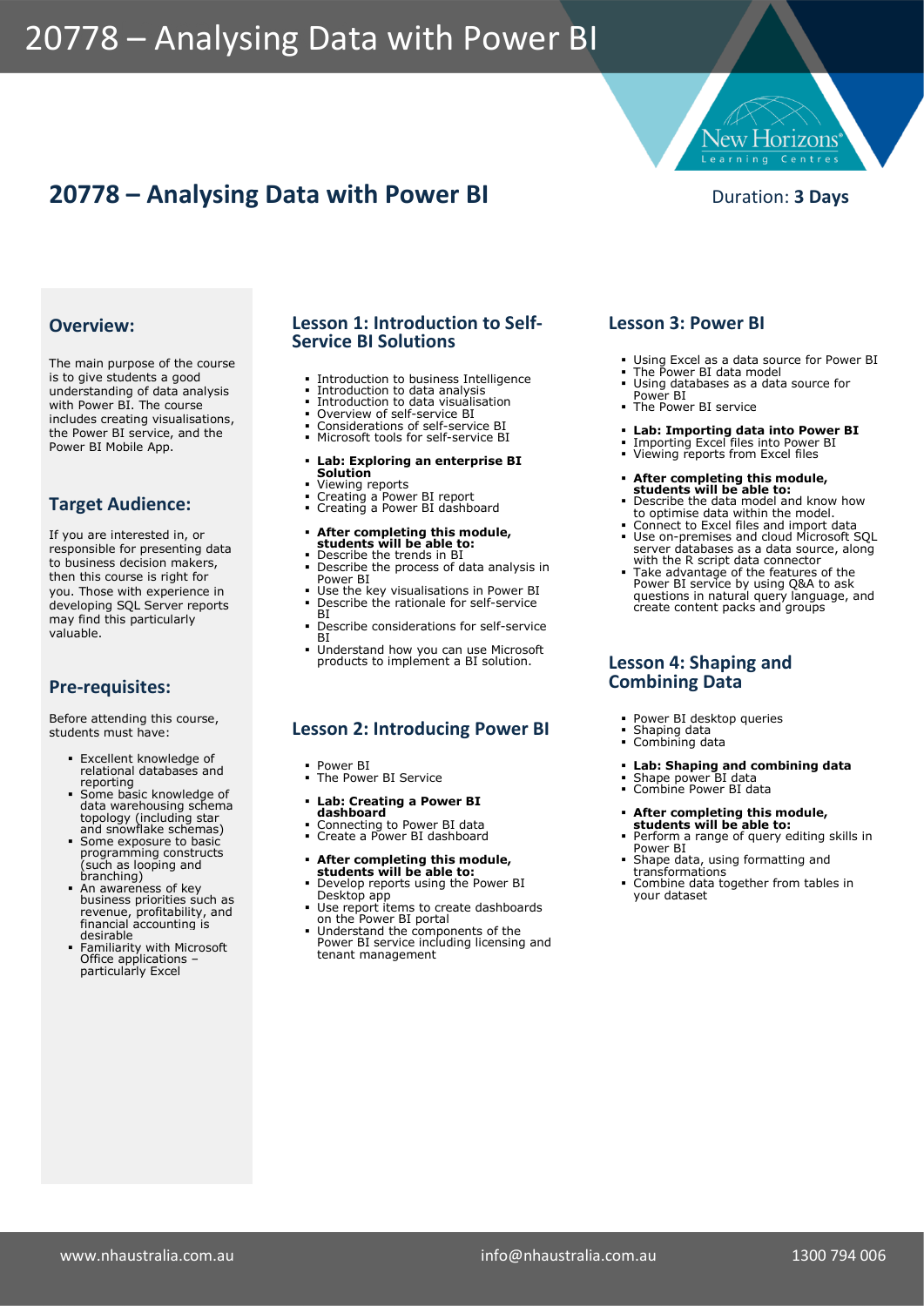# 20778 - Analysing Data with Power BI

## **20778 – Analysing Data with Power BI** Duration: 3 Days

**Jew Horizons** Learning Centres

#### **Overview:**

The main purpose of the course is to give students a good understanding of data analysis with Power BI. The course includes creating visualisations, the Power BI service, and the Power BI Mobile App.

### **Target Audience:**

If you are interested in, or responsible for presenting data to business decision makers, then this course is right for you. Those with experience in developing SQL Server reports may find this particularly valuable.

#### **Pre-requisites:**

Before attending this course, students must have:

- **Excellent knowledge of** relational databases and reporting
- Some basic knowledge of data warehousing schema topology (including star
- and snowflake schemas) Some exposure to basic programming constructs (such as looping and branching)
- An awareness of key business priorities such as revenue, profitability, and financial accounting is desirable
- **Example 1** Familiarity with Microsoft Office applications – particularly Excel

#### **Lesson 1: Introduction to Self-Service BI Solutions**

- **Introduction to business Intelligence**
- Introduction to data analysis
- Introduction to data visualisation Overview of self-service BI
- 
- Considerations of self-service BI Microsoft tools for self-service BI

#### ▪ **Lab: Exploring an enterprise BI Solution**

- Viewing reports
- Creating a Power BI report • Creating a Power BI dashboard

### ▪ **After completing this module, students will be able to:**

- Describe the trends in BI ▪ Describe the process of data analysis in
- Power BI **.** Use the key visualisations in Power BI ■ Describe the rationale for self-service
- **BI** ▪ Describe considerations for self-service
- **BI**
- **.** Understand how you can use Microsoft products to implement a BI solution.

#### **Lesson 2: Introducing Power BI**

- Power BI ▪ The Power BI Service
- 
- **Lab: Creating a Power BI dashboard**
- Connecting to Power BI data Create a Power BI dashboard
- **After completing this module,**
- **students will be able to:**<br>• Develop reports using the Power BI
- Desktop app Use report items to create dashboards on the Power BI portal Understand the components of the
- Power BI service including licensing and tenant management

#### **Lesson 3: Power BI**

- Using Excel as a data source for Power BI
- 
- The Power BI data model Using databases as a data source for Power BI
- **· The Power BI service**
- **Lab: Importing data into Power BI**
	- Importing Excel files into Power BI Viewing reports from Excel files
	-
- **After completing this module, students will be able to: Produced Students will be able to: Produced Students**
- to optimise data within the model. Connect to Excel files and import data Use on-premises and cloud Microsoft SQL
- server databases as a data source, along with the R script data connector
- Take advantage of the features of the Power BI service by using Q&A to ask questions in natural query language, and create content packs and groups

#### **Lesson 4: Shaping and Combining Data**

- Power BI desktop queries
- Shaping data Combining data
- 
- **Lab: Shaping and combining data** Shape power BI data Combine Power BI data
- 

- **After completing this module,<br>
<b>students will be able to:**<br> **•** Perform a range of query editing skills in<br>
Power BI
- Shape data, using formatting and transformations
- Combine data together from tables in your dataset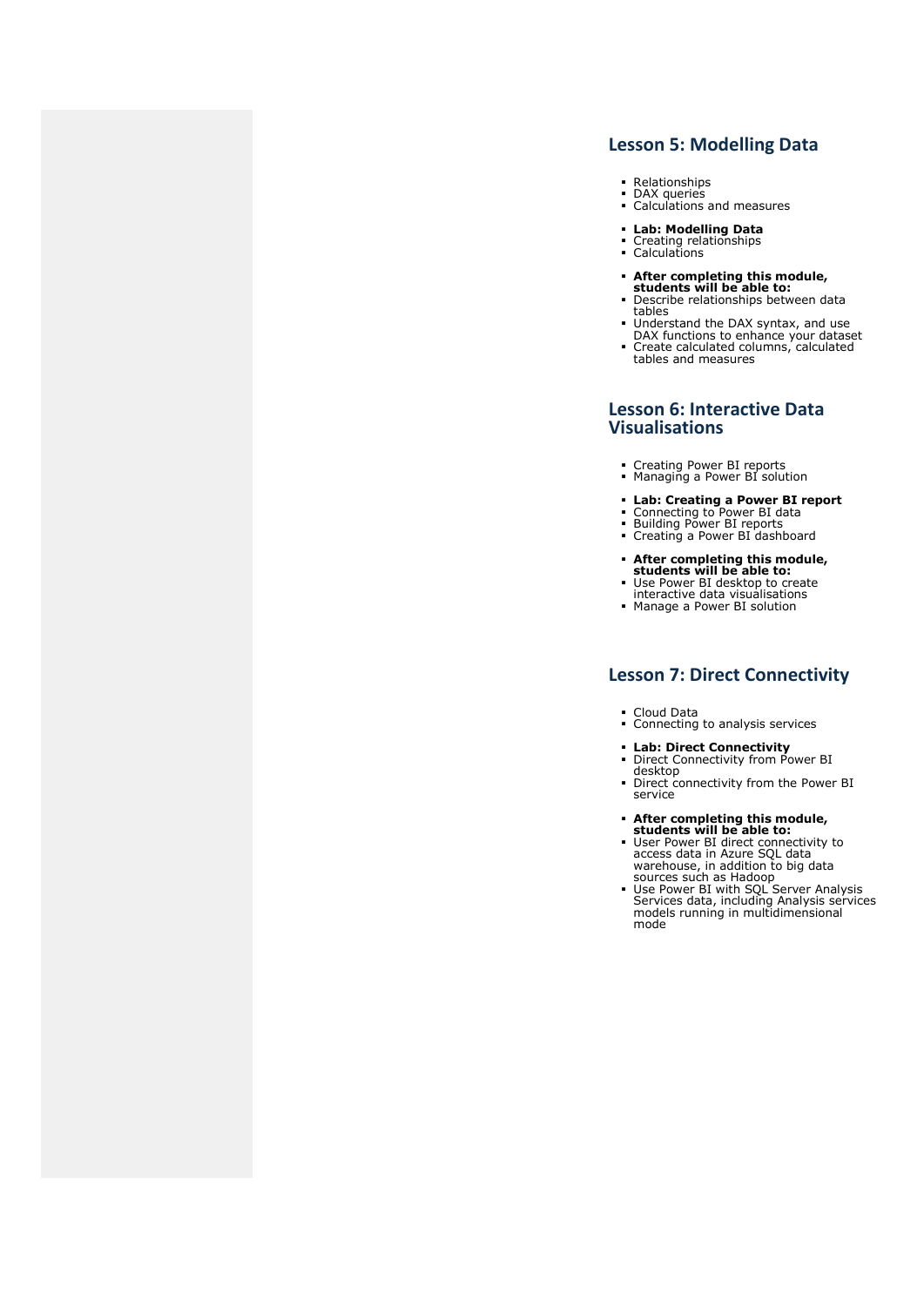#### **Lesson 5: Modelling Data**

- Relationships DAX queries
- Calculations and measures
- **Lab: Modelling Data**
- Creating relationships Calculations
- 
- **After completing this module, students will be able to:**
- Describe relationships between data
- tables Understand the DAX syntax, and use DAX functions to enhance your dataset Create calculated columns, calculated
- tables and measures

#### **Lesson 6: Interactive Data Visualisations**

- Creating Power BI reports Managing a Power BI solution
- 
- **Lab: Creating a Power BI report** Connecting to Power BI data Building Power BI reports Creating a Power BI dashboard
- 
- 
- **After completing this module, students will be able to:**
- Use Power BI desktop to create interactive data visualisations ▪ Manage a Power BI solution
- 

#### **Lesson 7: Direct Connectivity**

- 
- Cloud Data Connecting to analysis services
- **Exab: Direct Connectivity**<br> **•** Direct Connectivity from Power BI desktop
- Direct connectivity from the Power BI service
- 
- **After completing this module,**<br>
students will be able to:<br>
User Power BI direct connectivity to<br>
access data in Azure SQL data<br>
warehouse, in addition to big data<br>
sources such as Hadoop<br>
 Use Power BI with SQL Server
- models running in multidimensional mode